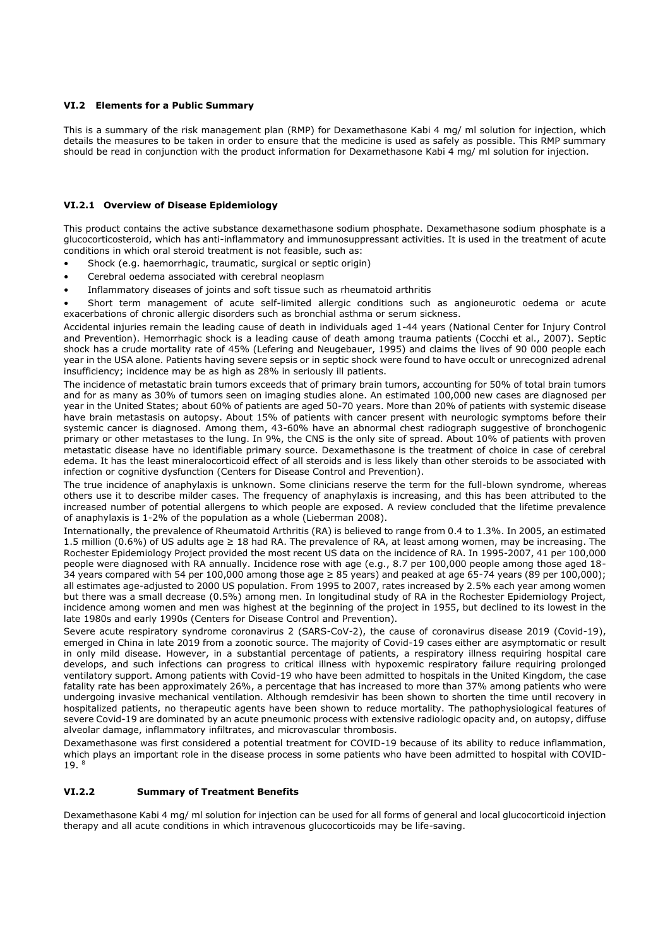#### **VI.2 Elements for a Public Summary**

This is a summary of the risk management plan (RMP) for Dexamethasone Kabi 4 mg/ ml solution for injection, which details the measures to be taken in order to ensure that the medicine is used as safely as possible. This RMP summary should be read in conjunction with the product information for Dexamethasone Kabi 4 mg/ ml solution for injection.

### **VI.2.1 Overview of Disease Epidemiology**

This product contains the active substance dexamethasone sodium phosphate. Dexamethasone sodium phosphate is a glucocorticosteroid, which has anti-inflammatory and immunosuppressant activities. It is used in the treatment of acute conditions in which oral steroid treatment is not feasible, such as:

- Shock (e.g. haemorrhagic, traumatic, surgical or septic origin)
- Cerebral oedema associated with cerebral neoplasm
- Inflammatory diseases of joints and soft tissue such as rheumatoid arthritis

• Short term management of acute self-limited allergic conditions such as angioneurotic oedema or acute exacerbations of chronic allergic disorders such as bronchial asthma or serum sickness.

Accidental injuries remain the leading cause of death in individuals aged 1-44 years (National Center for Injury Control and Prevention). Hemorrhagic shock is a leading cause of death among trauma patients (Cocchi et al., 2007). Septic shock has a crude mortality rate of 45% (Lefering and Neugebauer, 1995) and claims the lives of 90 000 people each year in the USA alone. Patients having severe sepsis or in septic shock were found to have occult or unrecognized adrenal insufficiency; incidence may be as high as 28% in seriously ill patients.

The incidence of metastatic brain tumors exceeds that of primary brain tumors, accounting for 50% of total brain tumors and for as many as 30% of tumors seen on imaging studies alone. An estimated 100,000 new cases are diagnosed per year in the United States; about 60% of patients are aged 50-70 years. More than 20% of patients with systemic disease have brain metastasis on autopsy. About 15% of patients with cancer present with neurologic symptoms before their systemic cancer is diagnosed. Among them, 43-60% have an abnormal chest radiograph suggestive of bronchogenic primary or other metastases to the lung. In 9%, the CNS is the only site of spread. About 10% of patients with proven metastatic disease have no identifiable primary source. Dexamethasone is the treatment of choice in case of cerebral edema. It has the least mineralocorticoid effect of all steroids and is less likely than other steroids to be associated with infection or cognitive dysfunction (Centers for Disease Control and Prevention).

The true incidence of anaphylaxis is unknown. Some clinicians reserve the term for the full-blown syndrome, whereas others use it to describe milder cases. The frequency of anaphylaxis is increasing, and this has been attributed to the increased number of potential allergens to which people are exposed. A review concluded that the lifetime prevalence of anaphylaxis is 1-2% of the population as a whole (Lieberman 2008).

Internationally, the prevalence of Rheumatoid Arthritis (RA) is believed to range from 0.4 to 1.3%. In 2005, an estimated 1.5 million (0.6%) of US adults age ≥ 18 had RA. The prevalence of RA, at least among women, may be increasing. The Rochester Epidemiology Project provided the most recent US data on the incidence of RA. In 1995-2007, 41 per 100,000 people were diagnosed with RA annually. Incidence rose with age (e.g., 8.7 per 100,000 people among those aged 18- 34 years compared with 54 per 100,000 among those age ≥ 85 years) and peaked at age 65-74 years (89 per 100,000); all estimates age-adjusted to 2000 US population. From 1995 to 2007, rates increased by 2.5% each year among women but there was a small decrease (0.5%) among men. In longitudinal study of RA in the Rochester Epidemiology Project, incidence among women and men was highest at the beginning of the project in 1955, but declined to its lowest in the late 1980s and early 1990s (Centers for Disease Control and Prevention).

Severe acute respiratory syndrome coronavirus 2 (SARS-CoV-2), the cause of coronavirus disease 2019 (Covid-19), emerged in China in late 2019 from a zoonotic source. The majority of Covid-19 cases either are asymptomatic or result in only mild disease. However, in a substantial percentage of patients, a respiratory illness requiring hospital care develops, and such infections can progress to critical illness with hypoxemic respiratory failure requiring prolonged ventilatory support. Among patients with Covid-19 who have been admitted to hospitals in the United Kingdom, the case fatality rate has been approximately 26%, a percentage that has increased to more than 37% among patients who were undergoing invasive mechanical ventilation. Although remdesivir has been shown to shorten the time until recovery in hospitalized patients, no therapeutic agents have been shown to reduce mortality. The pathophysiological features of severe Covid-19 are dominated by an acute pneumonic process with extensive radiologic opacity and, on autopsy, diffuse alveolar damage, inflammatory infiltrates, and microvascular thrombosis.

Dexamethasone was first considered a potential treatment for COVID-19 because of its ability to reduce inflammation, which plays an important role in the disease process in some patients who have been admitted to hospital with COVID-19. <sup>8</sup>

#### **VI.2.2 Summary of Treatment Benefits**

Dexamethasone Kabi 4 mg/ ml solution for injection can be used for all forms of general and local glucocorticoid injection therapy and all acute conditions in which intravenous glucocorticoids may be life-saving.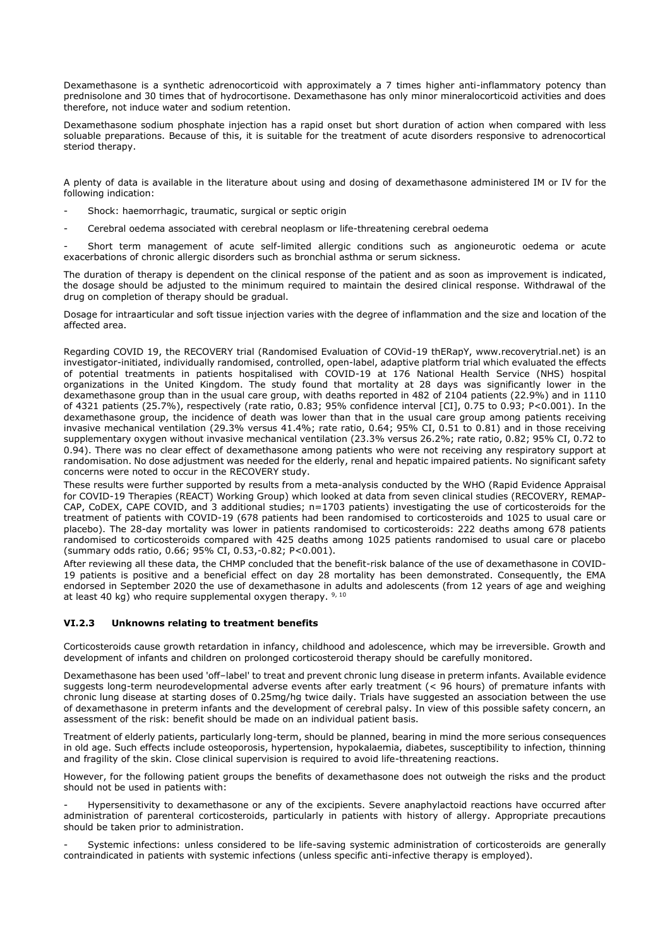Dexamethasone is a synthetic adrenocorticoid with approximately a 7 times higher anti-inflammatory potency than prednisolone and 30 times that of hydrocortisone. Dexamethasone has only minor mineralocorticoid activities and does therefore, not induce water and sodium retention.

Dexamethasone sodium phosphate injection has a rapid onset but short duration of action when compared with less soluable preparations. Because of this, it is suitable for the treatment of acute disorders responsive to adrenocortical steriod therapy.

A plenty of data is available in the literature about using and dosing of dexamethasone administered IM or IV for the following indication:

- Shock: haemorrhagic, traumatic, surgical or septic origin
- Cerebral oedema associated with cerebral neoplasm or life-threatening cerebral oedema

- Short term management of acute self-limited allergic conditions such as angioneurotic oedema or acute exacerbations of chronic allergic disorders such as bronchial asthma or serum sickness.

The duration of therapy is dependent on the clinical response of the patient and as soon as improvement is indicated, the dosage should be adjusted to the minimum required to maintain the desired clinical response. Withdrawal of the drug on completion of therapy should be gradual.

Dosage for intraarticular and soft tissue injection varies with the degree of inflammation and the size and location of the affected area.

Regarding COVID 19, the RECOVERY trial (Randomised Evaluation of COVid-19 thERapY, www.recoverytrial.net) is an investigator-initiated, individually randomised, controlled, open-label, adaptive platform trial which evaluated the effects of potential treatments in patients hospitalised with COVID-19 at 176 National Health Service (NHS) hospital organizations in the United Kingdom. The study found that mortality at 28 days was significantly lower in the dexamethasone group than in the usual care group, with deaths reported in 482 of 2104 patients (22.9%) and in 1110 of 4321 patients (25.7%), respectively (rate ratio, 0.83; 95% confidence interval [CI], 0.75 to 0.93; P<0.001). In the dexamethasone group, the incidence of death was lower than that in the usual care group among patients receiving invasive mechanical ventilation (29.3% versus 41.4%; rate ratio, 0.64; 95% CI, 0.51 to 0.81) and in those receiving supplementary oxygen without invasive mechanical ventilation (23.3% versus 26.2%; rate ratio, 0.82; 95% CI, 0.72 to 0.94). There was no clear effect of dexamethasone among patients who were not receiving any respiratory support at randomisation. No dose adjustment was needed for the elderly, renal and hepatic impaired patients. No significant safety concerns were noted to occur in the RECOVERY study.

These results were further supported by results from a meta-analysis conducted by the WHO (Rapid Evidence Appraisal for COVID-19 Therapies (REACT) Working Group) which looked at data from seven clinical studies (RECOVERY, REMAP-CAP, CoDEX, CAPE COVID, and 3 additional studies; n=1703 patients) investigating the use of corticosteroids for the treatment of patients with COVID-19 (678 patients had been randomised to corticosteroids and 1025 to usual care or placebo). The 28-day mortality was lower in patients randomised to corticosteroids: 222 deaths among 678 patients randomised to corticosteroids compared with 425 deaths among 1025 patients randomised to usual care or placebo (summary odds ratio, 0.66; 95% CI, 0.53,-0.82; P<0.001).

After reviewing all these data, the CHMP concluded that the benefit-risk balance of the use of dexamethasone in COVID-19 patients is positive and a beneficial effect on day 28 mortality has been demonstrated. Consequently, the EMA endorsed in September 2020 the use of dexamethasone in adults and adolescents (from 12 years of age and weighing at least 40 kg) who require supplemental oxygen therapy.  $9,10$ 

### **VI.2.3 Unknowns relating to treatment benefits**

Corticosteroids cause growth retardation in infancy, childhood and adolescence, which may be irreversible. Growth and development of infants and children on prolonged corticosteroid therapy should be carefully monitored.

Dexamethasone has been used 'off–label' to treat and prevent chronic lung disease in preterm infants. Available evidence suggests long-term neurodevelopmental adverse events after early treatment (< 96 hours) of premature infants with chronic lung disease at starting doses of 0.25mg/hg twice daily. Trials have suggested an association between the use of dexamethasone in preterm infants and the development of cerebral palsy. In view of this possible safety concern, an assessment of the risk: benefit should be made on an individual patient basis.

Treatment of elderly patients, particularly long-term, should be planned, bearing in mind the more serious consequences in old age. Such effects include osteoporosis, hypertension, hypokalaemia, diabetes, susceptibility to infection, thinning and fragility of the skin. Close clinical supervision is required to avoid life-threatening reactions.

However, for the following patient groups the benefits of dexamethasone does not outweigh the risks and the product should not be used in patients with:

Hypersensitivity to dexamethasone or any of the excipients. Severe anaphylactoid reactions have occurred after administration of parenteral corticosteroids, particularly in patients with history of allergy. Appropriate precautions should be taken prior to administration.

- Systemic infections: unless considered to be life-saving systemic administration of corticosteroids are generally contraindicated in patients with systemic infections (unless specific anti-infective therapy is employed).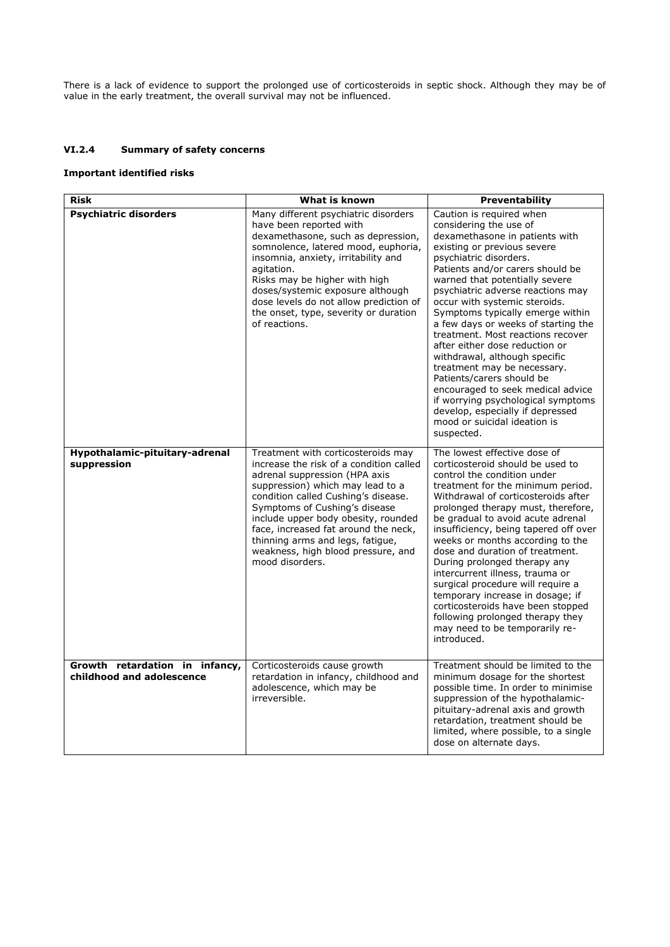There is a lack of evidence to support the prolonged use of corticosteroids in septic shock. Although they may be of value in the early treatment, the overall survival may not be influenced.

## **VI.2.4 Summary of safety concerns**

## **Important identified risks**

| <b>Risk</b>                                                 | What is known                                                                                                                                                                                                                                                                                                                                                                                          | Preventability                                                                                                                                                                                                                                                                                                                                                                                                                                                                                                                                                                                                                                                                                        |
|-------------------------------------------------------------|--------------------------------------------------------------------------------------------------------------------------------------------------------------------------------------------------------------------------------------------------------------------------------------------------------------------------------------------------------------------------------------------------------|-------------------------------------------------------------------------------------------------------------------------------------------------------------------------------------------------------------------------------------------------------------------------------------------------------------------------------------------------------------------------------------------------------------------------------------------------------------------------------------------------------------------------------------------------------------------------------------------------------------------------------------------------------------------------------------------------------|
| <b>Psychiatric disorders</b>                                | Many different psychiatric disorders<br>have been reported with<br>dexamethasone, such as depression,<br>somnolence, latered mood, euphoria,<br>insomnia, anxiety, irritability and<br>agitation.<br>Risks may be higher with high<br>doses/systemic exposure although<br>dose levels do not allow prediction of<br>the onset, type, severity or duration<br>of reactions.                             | Caution is required when<br>considering the use of<br>dexamethasone in patients with<br>existing or previous severe<br>psychiatric disorders.<br>Patients and/or carers should be<br>warned that potentially severe<br>psychiatric adverse reactions may<br>occur with systemic steroids.<br>Symptoms typically emerge within<br>a few days or weeks of starting the<br>treatment. Most reactions recover<br>after either dose reduction or<br>withdrawal, although specific<br>treatment may be necessary.<br>Patients/carers should be<br>encouraged to seek medical advice<br>if worrying psychological symptoms<br>develop, especially if depressed<br>mood or suicidal ideation is<br>suspected. |
| Hypothalamic-pituitary-adrenal<br>suppression               | Treatment with corticosteroids may<br>increase the risk of a condition called<br>adrenal suppression (HPA axis<br>suppression) which may lead to a<br>condition called Cushing's disease.<br>Symptoms of Cushing's disease<br>include upper body obesity, rounded<br>face, increased fat around the neck,<br>thinning arms and legs, fatigue,<br>weakness, high blood pressure, and<br>mood disorders. | The lowest effective dose of<br>corticosteroid should be used to<br>control the condition under<br>treatment for the minimum period.<br>Withdrawal of corticosteroids after<br>prolonged therapy must, therefore,<br>be gradual to avoid acute adrenal<br>insufficiency, being tapered off over<br>weeks or months according to the<br>dose and duration of treatment.<br>During prolonged therapy any<br>intercurrent illness, trauma or<br>surgical procedure will require a<br>temporary increase in dosage; if<br>corticosteroids have been stopped<br>following prolonged therapy they<br>may need to be temporarily re-<br>introduced.                                                          |
| Growth retardation in infancy,<br>childhood and adolescence | Corticosteroids cause growth<br>retardation in infancy, childhood and<br>adolescence, which may be<br>irreversible.                                                                                                                                                                                                                                                                                    | Treatment should be limited to the<br>minimum dosage for the shortest<br>possible time. In order to minimise<br>suppression of the hypothalamic-<br>pituitary-adrenal axis and growth<br>retardation, treatment should be<br>limited, where possible, to a single<br>dose on alternate days.                                                                                                                                                                                                                                                                                                                                                                                                          |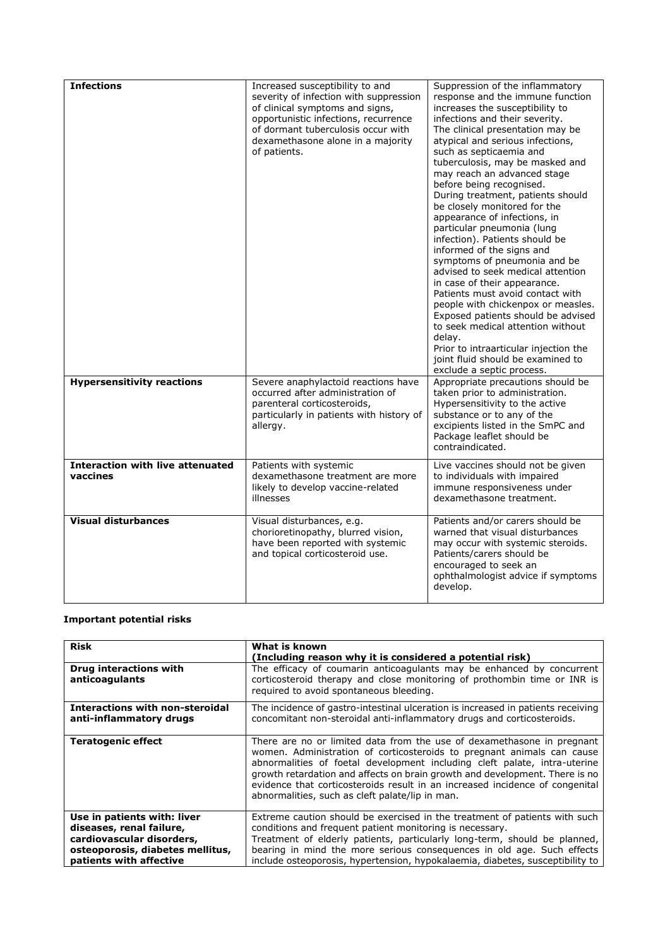| <b>Infections</b>                                   | Increased susceptibility to and<br>severity of infection with suppression<br>of clinical symptoms and signs,<br>opportunistic infections, recurrence<br>of dormant tuberculosis occur with<br>dexamethasone alone in a majority<br>of patients. | Suppression of the inflammatory<br>response and the immune function<br>increases the susceptibility to<br>infections and their severity.<br>The clinical presentation may be<br>atypical and serious infections,<br>such as septicaemia and<br>tuberculosis, may be masked and<br>may reach an advanced stage<br>before being recognised.<br>During treatment, patients should<br>be closely monitored for the<br>appearance of infections, in<br>particular pneumonia (lung<br>infection). Patients should be<br>informed of the signs and<br>symptoms of pneumonia and be<br>advised to seek medical attention<br>in case of their appearance.<br>Patients must avoid contact with<br>people with chickenpox or measles.<br>Exposed patients should be advised<br>to seek medical attention without<br>delay.<br>Prior to intraarticular injection the<br>joint fluid should be examined to<br>exclude a septic process. |
|-----------------------------------------------------|-------------------------------------------------------------------------------------------------------------------------------------------------------------------------------------------------------------------------------------------------|----------------------------------------------------------------------------------------------------------------------------------------------------------------------------------------------------------------------------------------------------------------------------------------------------------------------------------------------------------------------------------------------------------------------------------------------------------------------------------------------------------------------------------------------------------------------------------------------------------------------------------------------------------------------------------------------------------------------------------------------------------------------------------------------------------------------------------------------------------------------------------------------------------------------------|
| <b>Hypersensitivity reactions</b>                   | Severe anaphylactoid reactions have<br>occurred after administration of<br>parenteral corticosteroids,<br>particularly in patients with history of<br>allergy.                                                                                  | Appropriate precautions should be<br>taken prior to administration.<br>Hypersensitivity to the active<br>substance or to any of the<br>excipients listed in the SmPC and<br>Package leaflet should be<br>contraindicated.                                                                                                                                                                                                                                                                                                                                                                                                                                                                                                                                                                                                                                                                                                  |
| <b>Interaction with live attenuated</b><br>vaccines | Patients with systemic<br>dexamethasone treatment are more<br>likely to develop vaccine-related<br>illnesses                                                                                                                                    | Live vaccines should not be given<br>to individuals with impaired<br>immune responsiveness under<br>dexamethasone treatment.                                                                                                                                                                                                                                                                                                                                                                                                                                                                                                                                                                                                                                                                                                                                                                                               |
| <b>Visual disturbances</b>                          | Visual disturbances, e.g.<br>chorioretinopathy, blurred vision,<br>have been reported with systemic<br>and topical corticosteroid use.                                                                                                          | Patients and/or carers should be<br>warned that visual disturbances<br>may occur with systemic steroids.<br>Patients/carers should be<br>encouraged to seek an<br>ophthalmologist advice if symptoms<br>develop.                                                                                                                                                                                                                                                                                                                                                                                                                                                                                                                                                                                                                                                                                                           |

# **Important potential risks**

| <b>Risk</b>                                                                                                                                         | What is known                                                                                                                                                                                                                                                                                                                                                                                                                                   |
|-----------------------------------------------------------------------------------------------------------------------------------------------------|-------------------------------------------------------------------------------------------------------------------------------------------------------------------------------------------------------------------------------------------------------------------------------------------------------------------------------------------------------------------------------------------------------------------------------------------------|
|                                                                                                                                                     | (Including reason why it is considered a potential risk)                                                                                                                                                                                                                                                                                                                                                                                        |
| Drug interactions with<br>anticoagulants                                                                                                            | The efficacy of coumarin anticoagulants may be enhanced by concurrent<br>corticosteroid therapy and close monitoring of prothombin time or INR is<br>required to avoid spontaneous bleeding.                                                                                                                                                                                                                                                    |
| Interactions with non-steroidal<br>anti-inflammatory drugs                                                                                          | The incidence of gastro-intestinal ulceration is increased in patients receiving<br>concomitant non-steroidal anti-inflammatory drugs and corticosteroids.                                                                                                                                                                                                                                                                                      |
| <b>Teratogenic effect</b>                                                                                                                           | There are no or limited data from the use of dexamethasone in pregnant<br>women. Administration of corticosteroids to pregnant animals can cause<br>abnormalities of foetal development including cleft palate, intra-uterine<br>growth retardation and affects on brain growth and development. There is no<br>evidence that corticosteroids result in an increased incidence of congenital<br>abnormalities, such as cleft palate/lip in man. |
| Use in patients with: liver<br>diseases, renal failure,<br>cardiovascular disorders,<br>osteoporosis, diabetes mellitus,<br>patients with affective | Extreme caution should be exercised in the treatment of patients with such<br>conditions and frequent patient monitoring is necessary.<br>Treatment of elderly patients, particularly long-term, should be planned,<br>bearing in mind the more serious consequences in old age. Such effects<br>include osteoporosis, hypertension, hypokalaemia, diabetes, susceptibility to                                                                  |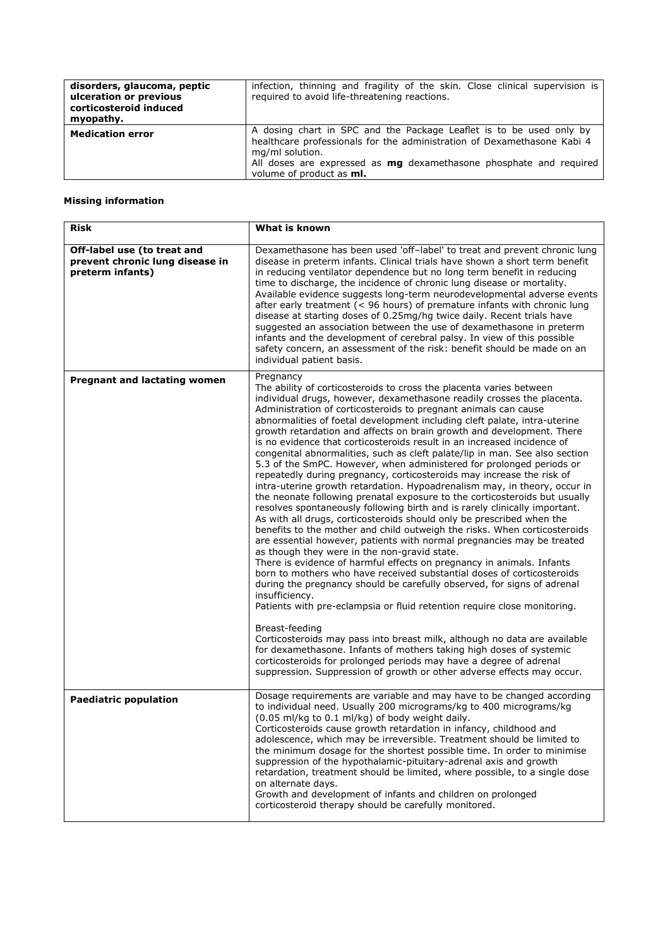| disorders, glaucoma, peptic<br>ulceration or previous<br>corticosteroid induced<br>myopathy. | infection, thinning and fragility of the skin. Close clinical supervision is<br>required to avoid life-threatening reactions.                                                                                                                                                     |
|----------------------------------------------------------------------------------------------|-----------------------------------------------------------------------------------------------------------------------------------------------------------------------------------------------------------------------------------------------------------------------------------|
| <b>Medication error</b>                                                                      | A dosing chart in SPC and the Package Leaflet is to be used only by<br>healthcare professionals for the administration of Dexamethasone Kabi 4<br>mg/ml solution.<br>All doses are expressed as <b>mg</b> dexamethasone phosphate and required<br>volume of product as <b>ml.</b> |

# **Missing information**

| <b>Risk</b>                                                                        | What is known                                                                                                                                                                                                                                                                                                                                                                                                                                                                                                                                                                                                                                                                                                                                                                                                                                                                                                                                                                                                                                                                                                                                                                                                                                                                                                                                                                                                                                                                                                                                                                                                                                                                                                                                                                                                                                                             |
|------------------------------------------------------------------------------------|---------------------------------------------------------------------------------------------------------------------------------------------------------------------------------------------------------------------------------------------------------------------------------------------------------------------------------------------------------------------------------------------------------------------------------------------------------------------------------------------------------------------------------------------------------------------------------------------------------------------------------------------------------------------------------------------------------------------------------------------------------------------------------------------------------------------------------------------------------------------------------------------------------------------------------------------------------------------------------------------------------------------------------------------------------------------------------------------------------------------------------------------------------------------------------------------------------------------------------------------------------------------------------------------------------------------------------------------------------------------------------------------------------------------------------------------------------------------------------------------------------------------------------------------------------------------------------------------------------------------------------------------------------------------------------------------------------------------------------------------------------------------------------------------------------------------------------------------------------------------------|
| Off-label use (to treat and<br>prevent chronic lung disease in<br>preterm infants) | Dexamethasone has been used 'off-label' to treat and prevent chronic lung<br>disease in preterm infants. Clinical trials have shown a short term benefit<br>in reducing ventilator dependence but no long term benefit in reducing<br>time to discharge, the incidence of chronic lung disease or mortality.<br>Available evidence suggests long-term neurodevelopmental adverse events<br>after early treatment ( $<$ 96 hours) of premature infants with chronic lung<br>disease at starting doses of 0.25mg/hg twice daily. Recent trials have<br>suggested an association between the use of dexamethasone in preterm<br>infants and the development of cerebral palsy. In view of this possible<br>safety concern, an assessment of the risk: benefit should be made on an<br>individual patient basis.                                                                                                                                                                                                                                                                                                                                                                                                                                                                                                                                                                                                                                                                                                                                                                                                                                                                                                                                                                                                                                                              |
| <b>Pregnant and lactating women</b>                                                | Pregnancy<br>The ability of corticosteroids to cross the placenta varies between<br>individual drugs, however, dexamethasone readily crosses the placenta.<br>Administration of corticosteroids to pregnant animals can cause<br>abnormalities of foetal development including cleft palate, intra-uterine<br>growth retardation and affects on brain growth and development. There<br>is no evidence that corticosteroids result in an increased incidence of<br>congenital abnormalities, such as cleft palate/lip in man. See also section<br>5.3 of the SmPC. However, when administered for prolonged periods or<br>repeatedly during pregnancy, corticosteroids may increase the risk of<br>intra-uterine growth retardation. Hypoadrenalism may, in theory, occur in<br>the neonate following prenatal exposure to the corticosteroids but usually<br>resolves spontaneously following birth and is rarely clinically important.<br>As with all drugs, corticosteroids should only be prescribed when the<br>benefits to the mother and child outweigh the risks. When corticosteroids<br>are essential however, patients with normal pregnancies may be treated<br>as though they were in the non-gravid state.<br>There is evidence of harmful effects on pregnancy in animals. Infants<br>born to mothers who have received substantial doses of corticosteroids<br>during the pregnancy should be carefully observed, for signs of adrenal<br>insufficiency.<br>Patients with pre-eclampsia or fluid retention require close monitoring.<br>Breast-feeding<br>Corticosteroids may pass into breast milk, although no data are available<br>for dexamethasone. Infants of mothers taking high doses of systemic<br>corticosteroids for prolonged periods may have a degree of adrenal<br>suppression. Suppression of growth or other adverse effects may occur. |
| <b>Paediatric population</b>                                                       | Dosage requirements are variable and may have to be changed according<br>to individual need. Usually 200 micrograms/kg to 400 micrograms/kg<br>(0.05 ml/kg to 0.1 ml/kg) of body weight daily.<br>Corticosteroids cause growth retardation in infancy, childhood and<br>adolescence, which may be irreversible. Treatment should be limited to<br>the minimum dosage for the shortest possible time. In order to minimise<br>suppression of the hypothalamic-pituitary-adrenal axis and growth<br>retardation, treatment should be limited, where possible, to a single dose<br>on alternate days.<br>Growth and development of infants and children on prolonged<br>corticosteroid therapy should be carefully monitored.                                                                                                                                                                                                                                                                                                                                                                                                                                                                                                                                                                                                                                                                                                                                                                                                                                                                                                                                                                                                                                                                                                                                                |